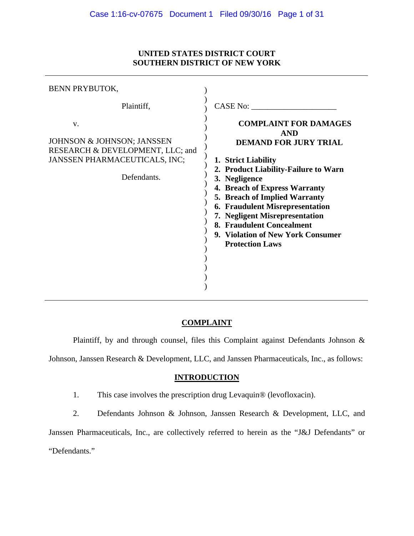# **UNITED STATES DISTRICT COURT SOUTHERN DISTRICT OF NEW YORK**

| BENN PRYBUTOK,                                                                                                                  |                                                                                                                                                                                                                                                                                                                                                                                               |
|---------------------------------------------------------------------------------------------------------------------------------|-----------------------------------------------------------------------------------------------------------------------------------------------------------------------------------------------------------------------------------------------------------------------------------------------------------------------------------------------------------------------------------------------|
| Plaintiff,                                                                                                                      | CASE No:                                                                                                                                                                                                                                                                                                                                                                                      |
| V.<br><b>JOHNSON &amp; JOHNSON; JANSSEN</b><br>RESEARCH & DEVELOPMENT, LLC; and<br>JANSSEN PHARMACEUTICALS, INC;<br>Defendants. | <b>COMPLAINT FOR DAMAGES</b><br><b>AND</b><br><b>DEMAND FOR JURY TRIAL</b><br>1. Strict Liability<br>2. Product Liability-Failure to Warn<br>3. Negligence<br>4. Breach of Express Warranty<br>5. Breach of Implied Warranty<br>6. Fraudulent Misrepresentation<br>7. Negligent Misrepresentation<br>8. Fraudulent Concealment<br>9. Violation of New York Consumer<br><b>Protection Laws</b> |

### **COMPLAINT**

Plaintiff, by and through counsel, files this Complaint against Defendants Johnson &

Johnson, Janssen Research & Development, LLC, and Janssen Pharmaceuticals, Inc., as follows:

# **INTRODUCTION**

1. This case involves the prescription drug Levaquin® (levofloxacin).

2. Defendants Johnson & Johnson, Janssen Research & Development, LLC, and

Janssen Pharmaceuticals, Inc., are collectively referred to herein as the "J&J Defendants" or

"Defendants."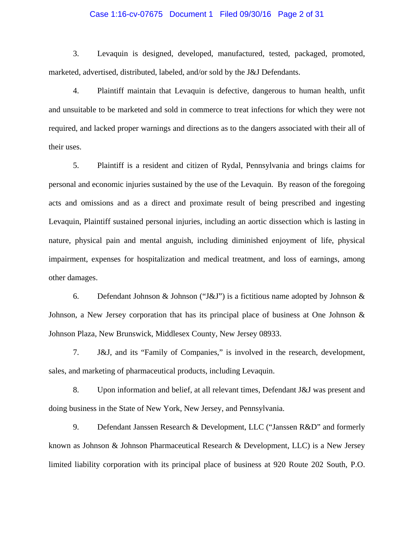### Case 1:16-cv-07675 Document 1 Filed 09/30/16 Page 2 of 31

3. Levaquin is designed, developed, manufactured, tested, packaged, promoted, marketed, advertised, distributed, labeled, and/or sold by the J&J Defendants.

4. Plaintiff maintain that Levaquin is defective, dangerous to human health, unfit and unsuitable to be marketed and sold in commerce to treat infections for which they were not required, and lacked proper warnings and directions as to the dangers associated with their all of their uses.

5. Plaintiff is a resident and citizen of Rydal, Pennsylvania and brings claims for personal and economic injuries sustained by the use of the Levaquin. By reason of the foregoing acts and omissions and as a direct and proximate result of being prescribed and ingesting Levaquin, Plaintiff sustained personal injuries, including an aortic dissection which is lasting in nature, physical pain and mental anguish, including diminished enjoyment of life, physical impairment, expenses for hospitalization and medical treatment, and loss of earnings, among other damages.

6. Defendant Johnson & Johnson ("J&J") is a fictitious name adopted by Johnson & Johnson, a New Jersey corporation that has its principal place of business at One Johnson  $\&$ Johnson Plaza, New Brunswick, Middlesex County, New Jersey 08933.

7. J&J, and its "Family of Companies," is involved in the research, development, sales, and marketing of pharmaceutical products, including Levaquin.

8. Upon information and belief, at all relevant times, Defendant J&J was present and doing business in the State of New York, New Jersey, and Pennsylvania.

9. Defendant Janssen Research & Development, LLC ("Janssen R&D" and formerly known as Johnson & Johnson Pharmaceutical Research & Development, LLC) is a New Jersey limited liability corporation with its principal place of business at 920 Route 202 South, P.O.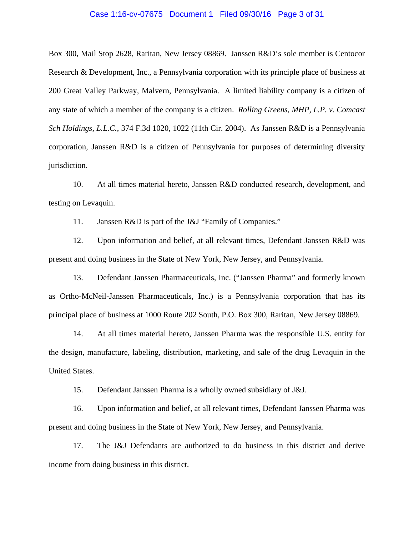### Case 1:16-cv-07675 Document 1 Filed 09/30/16 Page 3 of 31

Box 300, Mail Stop 2628, Raritan, New Jersey 08869. Janssen R&D's sole member is Centocor Research & Development, Inc., a Pennsylvania corporation with its principle place of business at 200 Great Valley Parkway, Malvern, Pennsylvania. A limited liability company is a citizen of any state of which a member of the company is a citizen. *Rolling Greens, MHP, L.P. v. Comcast Sch Holdings, L.L.C.*, 374 F.3d 1020, 1022 (11th Cir. 2004). As Janssen R&D is a Pennsylvania corporation, Janssen R&D is a citizen of Pennsylvania for purposes of determining diversity jurisdiction.

10. At all times material hereto, Janssen R&D conducted research, development, and testing on Levaquin.

11. Janssen R&D is part of the J&J "Family of Companies."

12. Upon information and belief, at all relevant times, Defendant Janssen R&D was present and doing business in the State of New York, New Jersey, and Pennsylvania.

13. Defendant Janssen Pharmaceuticals, Inc. ("Janssen Pharma" and formerly known as Ortho-McNeil-Janssen Pharmaceuticals, Inc.) is a Pennsylvania corporation that has its principal place of business at 1000 Route 202 South, P.O. Box 300, Raritan, New Jersey 08869.

14. At all times material hereto, Janssen Pharma was the responsible U.S. entity for the design, manufacture, labeling, distribution, marketing, and sale of the drug Levaquin in the United States.

15. Defendant Janssen Pharma is a wholly owned subsidiary of J&J.

16. Upon information and belief, at all relevant times, Defendant Janssen Pharma was present and doing business in the State of New York, New Jersey, and Pennsylvania.

17. The J&J Defendants are authorized to do business in this district and derive income from doing business in this district.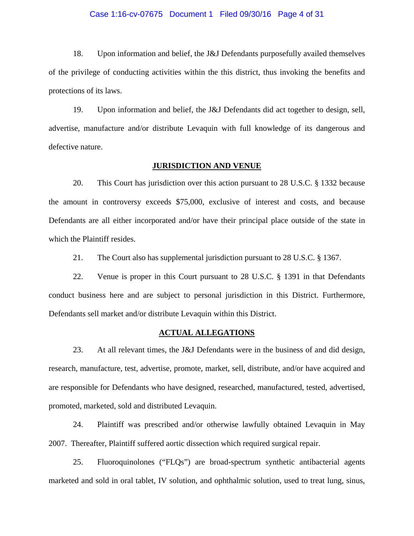### Case 1:16-cv-07675 Document 1 Filed 09/30/16 Page 4 of 31

18. Upon information and belief, the J&J Defendants purposefully availed themselves of the privilege of conducting activities within the this district, thus invoking the benefits and protections of its laws.

19. Upon information and belief, the J&J Defendants did act together to design, sell, advertise, manufacture and/or distribute Levaquin with full knowledge of its dangerous and defective nature.

### **JURISDICTION AND VENUE**

20. This Court has jurisdiction over this action pursuant to 28 U.S.C. § 1332 because the amount in controversy exceeds \$75,000, exclusive of interest and costs, and because Defendants are all either incorporated and/or have their principal place outside of the state in which the Plaintiff resides.

21. The Court also has supplemental jurisdiction pursuant to 28 U.S.C. § 1367.

22. Venue is proper in this Court pursuant to 28 U.S.C. § 1391 in that Defendants conduct business here and are subject to personal jurisdiction in this District. Furthermore, Defendants sell market and/or distribute Levaquin within this District.

### **ACTUAL ALLEGATIONS**

23. At all relevant times, the J&J Defendants were in the business of and did design, research, manufacture, test, advertise, promote, market, sell, distribute, and/or have acquired and are responsible for Defendants who have designed, researched, manufactured, tested, advertised, promoted, marketed, sold and distributed Levaquin.

24. Plaintiff was prescribed and/or otherwise lawfully obtained Levaquin in May 2007. Thereafter, Plaintiff suffered aortic dissection which required surgical repair.

25. Fluoroquinolones ("FLQs") are broad-spectrum synthetic antibacterial agents marketed and sold in oral tablet, IV solution, and ophthalmic solution, used to treat lung, sinus,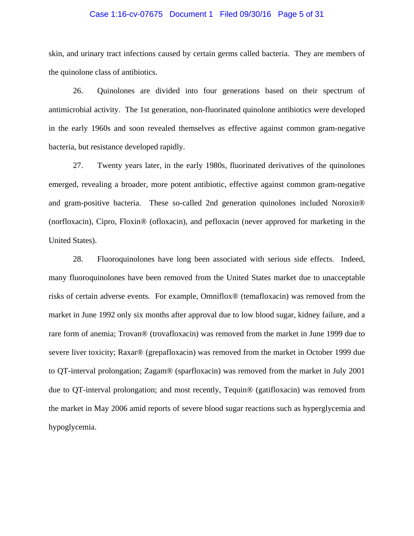### Case 1:16-cv-07675 Document 1 Filed 09/30/16 Page 5 of 31

skin, and urinary tract infections caused by certain germs called bacteria. They are members of the quinolone class of antibiotics.

26. Quinolones are divided into four generations based on their spectrum of antimicrobial activity. The 1st generation, non-fluorinated quinolone antibiotics were developed in the early 1960s and soon revealed themselves as effective against common gram-negative bacteria, but resistance developed rapidly.

27. Twenty years later, in the early 1980s, fluorinated derivatives of the quinolones emerged, revealing a broader, more potent antibiotic, effective against common gram-negative and gram-positive bacteria. These so-called 2nd generation quinolones included Noroxin® (norfloxacin), Cipro, Floxin® (ofloxacin), and pefloxacin (never approved for marketing in the United States).

28. Fluoroquinolones have long been associated with serious side effects. Indeed, many fluoroquinolones have been removed from the United States market due to unacceptable risks of certain adverse events. For example, Omniflox® (temafloxacin) was removed from the market in June 1992 only six months after approval due to low blood sugar, kidney failure, and a rare form of anemia; Trovan® (trovafloxacin) was removed from the market in June 1999 due to severe liver toxicity; Raxar® (grepafloxacin) was removed from the market in October 1999 due to QT-interval prolongation; Zagam® (sparfloxacin) was removed from the market in July 2001 due to QT-interval prolongation; and most recently, Tequin® (gatifloxacin) was removed from the market in May 2006 amid reports of severe blood sugar reactions such as hyperglycemia and hypoglycemia.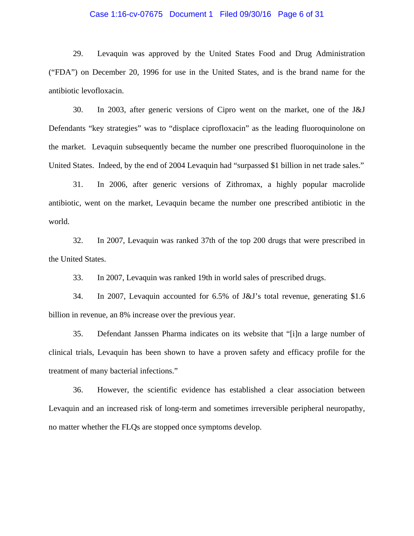### Case 1:16-cv-07675 Document 1 Filed 09/30/16 Page 6 of 31

29. Levaquin was approved by the United States Food and Drug Administration ("FDA") on December 20, 1996 for use in the United States, and is the brand name for the antibiotic levofloxacin.

30. In 2003, after generic versions of Cipro went on the market, one of the J&J Defendants "key strategies" was to "displace ciprofloxacin" as the leading fluoroquinolone on the market. Levaquin subsequently became the number one prescribed fluoroquinolone in the United States. Indeed, by the end of 2004 Levaquin had "surpassed \$1 billion in net trade sales."

31. In 2006, after generic versions of Zithromax, a highly popular macrolide antibiotic, went on the market, Levaquin became the number one prescribed antibiotic in the world.

32. In 2007, Levaquin was ranked 37th of the top 200 drugs that were prescribed in the United States.

33. In 2007, Levaquin was ranked 19th in world sales of prescribed drugs.

34. In 2007, Levaquin accounted for 6.5% of J&J's total revenue, generating \$1.6 billion in revenue, an 8% increase over the previous year.

35. Defendant Janssen Pharma indicates on its website that "[i]n a large number of clinical trials, Levaquin has been shown to have a proven safety and efficacy profile for the treatment of many bacterial infections."

36. However, the scientific evidence has established a clear association between Levaquin and an increased risk of long-term and sometimes irreversible peripheral neuropathy, no matter whether the FLQs are stopped once symptoms develop.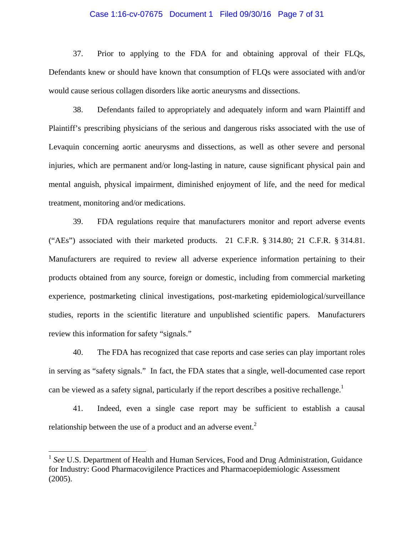### Case 1:16-cv-07675 Document 1 Filed 09/30/16 Page 7 of 31

37. Prior to applying to the FDA for and obtaining approval of their FLQs, Defendants knew or should have known that consumption of FLQs were associated with and/or would cause serious collagen disorders like aortic aneurysms and dissections.

38. Defendants failed to appropriately and adequately inform and warn Plaintiff and Plaintiff's prescribing physicians of the serious and dangerous risks associated with the use of Levaquin concerning aortic aneurysms and dissections, as well as other severe and personal injuries, which are permanent and/or long-lasting in nature, cause significant physical pain and mental anguish, physical impairment, diminished enjoyment of life, and the need for medical treatment, monitoring and/or medications.

39. FDA regulations require that manufacturers monitor and report adverse events ("AEs") associated with their marketed products. 21 C.F.R. § 314.80; 21 C.F.R. § 314.81. Manufacturers are required to review all adverse experience information pertaining to their products obtained from any source, foreign or domestic, including from commercial marketing experience, postmarketing clinical investigations, post-marketing epidemiological/surveillance studies, reports in the scientific literature and unpublished scientific papers. Manufacturers review this information for safety "signals."

40. The FDA has recognized that case reports and case series can play important roles in serving as "safety signals." In fact, the FDA states that a single, well-documented case report can be viewed as a safety signal, particularly if the report describes a positive rechallenge.<sup>1</sup>

41. Indeed, even a single case report may be sufficient to establish a causal relationship between the use of a product and an adverse event.<sup>2</sup>

 $\overline{a}$ 

<sup>&</sup>lt;sup>1</sup> See U.S. Department of Health and Human Services, Food and Drug Administration, Guidance for Industry: Good Pharmacovigilence Practices and Pharmacoepidemiologic Assessment (2005).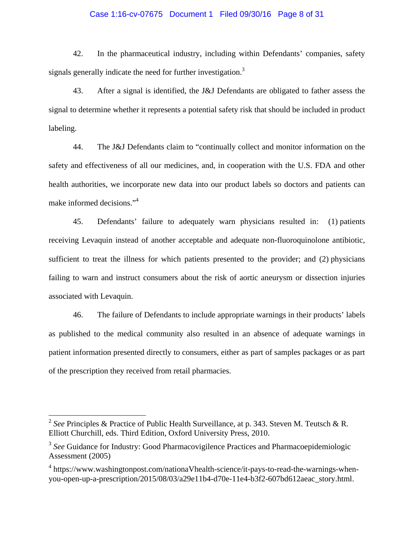### Case 1:16-cv-07675 Document 1 Filed 09/30/16 Page 8 of 31

42. In the pharmaceutical industry, including within Defendants' companies, safety signals generally indicate the need for further investigation.<sup>3</sup>

43. After a signal is identified, the J&J Defendants are obligated to father assess the signal to determine whether it represents a potential safety risk that should be included in product labeling.

44. The J&J Defendants claim to "continually collect and monitor information on the safety and effectiveness of all our medicines, and, in cooperation with the U.S. FDA and other health authorities, we incorporate new data into our product labels so doctors and patients can make informed decisions."<sup>4</sup>

45. Defendants' failure to adequately warn physicians resulted in: (1) patients receiving Levaquin instead of another acceptable and adequate non-fluoroquinolone antibiotic, sufficient to treat the illness for which patients presented to the provider; and (2) physicians failing to warn and instruct consumers about the risk of aortic aneurysm or dissection injuries associated with Levaquin.

46. The failure of Defendants to include appropriate warnings in their products' labels as published to the medical community also resulted in an absence of adequate warnings in patient information presented directly to consumers, either as part of samples packages or as part of the prescription they received from retail pharmacies.

 $\overline{a}$ 

<sup>2</sup> *See* Principles & Practice of Public Health Surveillance, at p. 343. Steven M. Teutsch & R. Elliott Churchill, eds. Third Edition, Oxford University Press, 2010.

<sup>&</sup>lt;sup>3</sup> See Guidance for Industry: Good Pharmacovigilence Practices and Pharmacoepidemiologic Assessment (2005)

<sup>&</sup>lt;sup>4</sup> https://www.washingtonpost.com/nationaVhealth-science/it-pays-to-read-the-warnings-whenyou-open-up-a-prescription/2015/08/03/a29e11b4-d70e-11e4-b3f2-607bd612aeac\_story.html.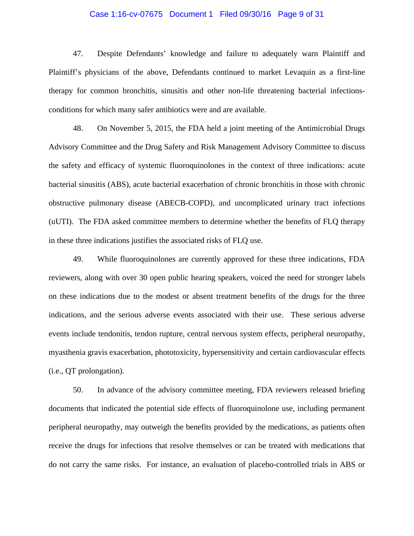### Case 1:16-cv-07675 Document 1 Filed 09/30/16 Page 9 of 31

47. Despite Defendants' knowledge and failure to adequately warn Plaintiff and Plaintiff's physicians of the above, Defendants continued to market Levaquin as a first-line therapy for common bronchitis, sinusitis and other non-life threatening bacterial infectionsconditions for which many safer antibiotics were and are available.

48. On November 5, 2015, the FDA held a joint meeting of the Antimicrobial Drugs Advisory Committee and the Drug Safety and Risk Management Advisory Committee to discuss the safety and efficacy of systemic fluoroquinolones in the context of three indications: acute bacterial sinusitis (ABS), acute bacterial exacerbation of chronic bronchitis in those with chronic obstructive pulmonary disease (ABECB-COPD), and uncomplicated urinary tract infections (uUTI). The FDA asked committee members to determine whether the benefits of FLQ therapy in these three indications justifies the associated risks of FLQ use.

49. While fluoroquinolones are currently approved for these three indications, FDA reviewers, along with over 30 open public hearing speakers, voiced the need for stronger labels on these indications due to the modest or absent treatment benefits of the drugs for the three indications, and the serious adverse events associated with their use. These serious adverse events include tendonitis, tendon rupture, central nervous system effects, peripheral neuropathy, myasthenia gravis exacerbation, phototoxicity, hypersensitivity and certain cardiovascular effects (i.e., QT prolongation).

50. In advance of the advisory committee meeting, FDA reviewers released briefing documents that indicated the potential side effects of fluoroquinolone use, including permanent peripheral neuropathy, may outweigh the benefits provided by the medications, as patients often receive the drugs for infections that resolve themselves or can be treated with medications that do not carry the same risks. For instance, an evaluation of placebo-controlled trials in ABS or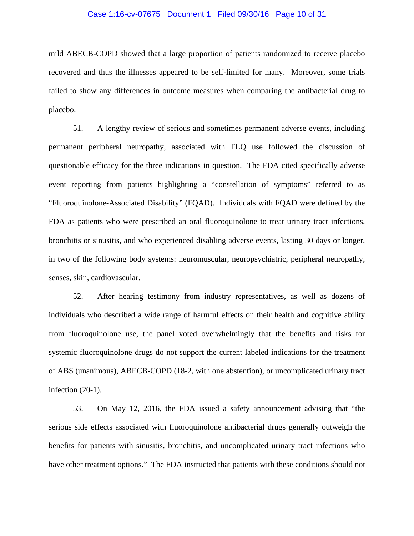### Case 1:16-cv-07675 Document 1 Filed 09/30/16 Page 10 of 31

mild ABECB-COPD showed that a large proportion of patients randomized to receive placebo recovered and thus the illnesses appeared to be self-limited for many. Moreover, some trials failed to show any differences in outcome measures when comparing the antibacterial drug to placebo.

51. A lengthy review of serious and sometimes permanent adverse events, including permanent peripheral neuropathy, associated with FLQ use followed the discussion of questionable efficacy for the three indications in question. The FDA cited specifically adverse event reporting from patients highlighting a "constellation of symptoms" referred to as "Fluoroquinolone-Associated Disability" (FQAD). Individuals with FQAD were defined by the FDA as patients who were prescribed an oral fluoroquinolone to treat urinary tract infections, bronchitis or sinusitis, and who experienced disabling adverse events, lasting 30 days or longer, in two of the following body systems: neuromuscular, neuropsychiatric, peripheral neuropathy, senses, skin, cardiovascular.

52. After hearing testimony from industry representatives, as well as dozens of individuals who described a wide range of harmful effects on their health and cognitive ability from fluoroquinolone use, the panel voted overwhelmingly that the benefits and risks for systemic fluoroquinolone drugs do not support the current labeled indications for the treatment of ABS (unanimous), ABECB-COPD (18-2, with one abstention), or uncomplicated urinary tract infection (20-1).

53. On May 12, 2016, the FDA issued a safety announcement advising that "the serious side effects associated with fluoroquinolone antibacterial drugs generally outweigh the benefits for patients with sinusitis, bronchitis, and uncomplicated urinary tract infections who have other treatment options." The FDA instructed that patients with these conditions should not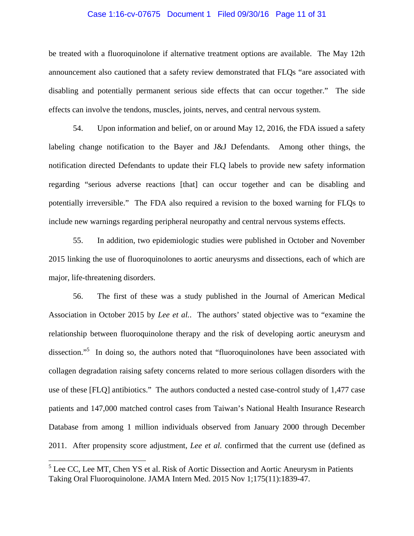### Case 1:16-cv-07675 Document 1 Filed 09/30/16 Page 11 of 31

be treated with a fluoroquinolone if alternative treatment options are available. The May 12th announcement also cautioned that a safety review demonstrated that FLQs "are associated with disabling and potentially permanent serious side effects that can occur together." The side effects can involve the tendons, muscles, joints, nerves, and central nervous system.

54. Upon information and belief, on or around May 12, 2016, the FDA issued a safety labeling change notification to the Bayer and J&J Defendants. Among other things, the notification directed Defendants to update their FLQ labels to provide new safety information regarding "serious adverse reactions [that] can occur together and can be disabling and potentially irreversible." The FDA also required a revision to the boxed warning for FLQs to include new warnings regarding peripheral neuropathy and central nervous systems effects.

55. In addition, two epidemiologic studies were published in October and November 2015 linking the use of fluoroquinolones to aortic aneurysms and dissections, each of which are major, life-threatening disorders.

56. The first of these was a study published in the Journal of American Medical Association in October 2015 by *Lee et al.*. The authors' stated objective was to "examine the relationship between fluoroquinolone therapy and the risk of developing aortic aneurysm and dissection."<sup>5</sup> In doing so, the authors noted that "fluoroquinolones have been associated with collagen degradation raising safety concerns related to more serious collagen disorders with the use of these [FLQ] antibiotics." The authors conducted a nested case-control study of 1,477 case patients and 147,000 matched control cases from Taiwan's National Health Insurance Research Database from among 1 million individuals observed from January 2000 through December 2011. After propensity score adjustment, *Lee et al.* confirmed that the current use (defined as

1

<sup>&</sup>lt;sup>5</sup> Lee CC, Lee MT, Chen YS et al. Risk of Aortic Dissection and Aortic Aneurysm in Patients Taking Oral Fluoroquinolone. JAMA Intern Med. 2015 Nov 1;175(11):1839-47.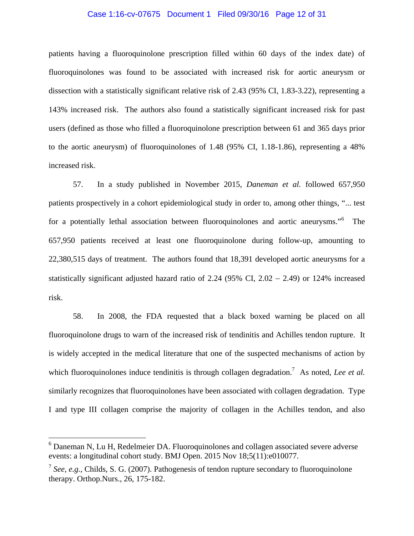### Case 1:16-cv-07675 Document 1 Filed 09/30/16 Page 12 of 31

patients having a fluoroquinolone prescription filled within 60 days of the index date) of fluoroquinolones was found to be associated with increased risk for aortic aneurysm or dissection with a statistically significant relative risk of 2.43 (95% CI, 1.83-3.22), representing a 143% increased risk. The authors also found a statistically significant increased risk for past users (defined as those who filled a fluoroquinolone prescription between 61 and 365 days prior to the aortic aneurysm) of fluoroquinolones of 1.48 (95% CI, 1.18-1.86), representing a 48% increased risk.

57. In a study published in November 2015, *Daneman et al.* followed 657,950 patients prospectively in a cohort epidemiological study in order to, among other things, "... test for a potentially lethal association between fluoroquinolones and aortic aneurysms."<sup>6</sup> The 657,950 patients received at least one fluoroquinolone during follow-up, amounting to 22,380,515 days of treatment. The authors found that 18,391 developed aortic aneurysms for a statistically significant adjusted hazard ratio of 2.24 (95% CI,  $2.02 - 2.49$ ) or 124% increased risk.

58. In 2008, the FDA requested that a black boxed warning be placed on all fluoroquinolone drugs to warn of the increased risk of tendinitis and Achilles tendon rupture. It is widely accepted in the medical literature that one of the suspected mechanisms of action by which fluoroquinolones induce tendinitis is through collagen degradation.<sup>7</sup> As noted, *Lee et al.* similarly recognizes that fluoroquinolones have been associated with collagen degradation. Type I and type III collagen comprise the majority of collagen in the Achilles tendon, and also

 $\overline{a}$ 

<sup>&</sup>lt;sup>6</sup> Daneman N, Lu H, Redelmeier DA. Fluoroquinolones and collagen associated severe adverse events: a longitudinal cohort study. BMJ Open. 2015 Nov 18;5(11):e010077.

<sup>7</sup> *See, e.g.*, Childs, S. G. (2007). Pathogenesis of tendon rupture secondary to fluoroquinolone therapy. Orthop.Nurs., 26, 175-182.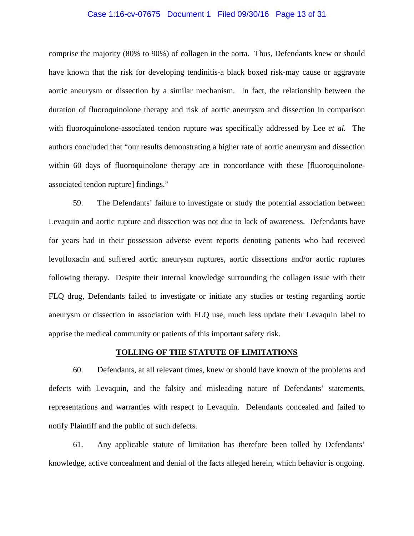### Case 1:16-cv-07675 Document 1 Filed 09/30/16 Page 13 of 31

comprise the majority (80% to 90%) of collagen in the aorta. Thus, Defendants knew or should have known that the risk for developing tendinitis-a black boxed risk-may cause or aggravate aortic aneurysm or dissection by a similar mechanism. In fact, the relationship between the duration of fluoroquinolone therapy and risk of aortic aneurysm and dissection in comparison with fluoroquinolone-associated tendon rupture was specifically addressed by Lee *et al.* The authors concluded that "our results demonstrating a higher rate of aortic aneurysm and dissection within 60 days of fluoroquinolone therapy are in concordance with these [fluoroquinoloneassociated tendon rupture] findings."

59. The Defendants' failure to investigate or study the potential association between Levaquin and aortic rupture and dissection was not due to lack of awareness. Defendants have for years had in their possession adverse event reports denoting patients who had received levofloxacin and suffered aortic aneurysm ruptures, aortic dissections and/or aortic ruptures following therapy. Despite their internal knowledge surrounding the collagen issue with their FLQ drug, Defendants failed to investigate or initiate any studies or testing regarding aortic aneurysm or dissection in association with FLQ use, much less update their Levaquin label to apprise the medical community or patients of this important safety risk.

### **TOLLING OF THE STATUTE OF LIMITATIONS**

60. Defendants, at all relevant times, knew or should have known of the problems and defects with Levaquin, and the falsity and misleading nature of Defendants' statements, representations and warranties with respect to Levaquin. Defendants concealed and failed to notify Plaintiff and the public of such defects.

61. Any applicable statute of limitation has therefore been tolled by Defendants' knowledge, active concealment and denial of the facts alleged herein, which behavior is ongoing.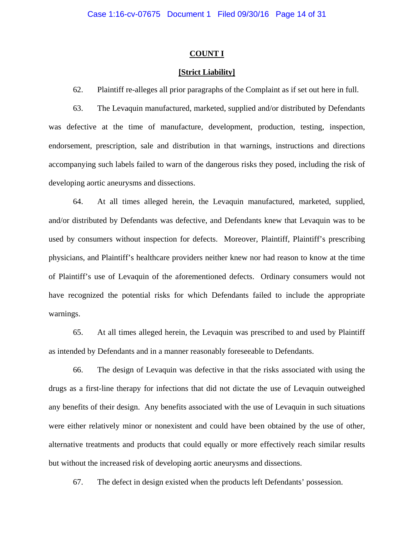#### **COUNT I**

# **[Strict Liability]**

62. Plaintiff re-alleges all prior paragraphs of the Complaint as if set out here in full.

63. The Levaquin manufactured, marketed, supplied and/or distributed by Defendants was defective at the time of manufacture, development, production, testing, inspection, endorsement, prescription, sale and distribution in that warnings, instructions and directions accompanying such labels failed to warn of the dangerous risks they posed, including the risk of developing aortic aneurysms and dissections.

64. At all times alleged herein, the Levaquin manufactured, marketed, supplied, and/or distributed by Defendants was defective, and Defendants knew that Levaquin was to be used by consumers without inspection for defects. Moreover, Plaintiff, Plaintiff's prescribing physicians, and Plaintiff's healthcare providers neither knew nor had reason to know at the time of Plaintiff's use of Levaquin of the aforementioned defects. Ordinary consumers would not have recognized the potential risks for which Defendants failed to include the appropriate warnings.

65. At all times alleged herein, the Levaquin was prescribed to and used by Plaintiff as intended by Defendants and in a manner reasonably foreseeable to Defendants.

66. The design of Levaquin was defective in that the risks associated with using the drugs as a first-line therapy for infections that did not dictate the use of Levaquin outweighed any benefits of their design. Any benefits associated with the use of Levaquin in such situations were either relatively minor or nonexistent and could have been obtained by the use of other, alternative treatments and products that could equally or more effectively reach similar results but without the increased risk of developing aortic aneurysms and dissections.

67. The defect in design existed when the products left Defendants' possession.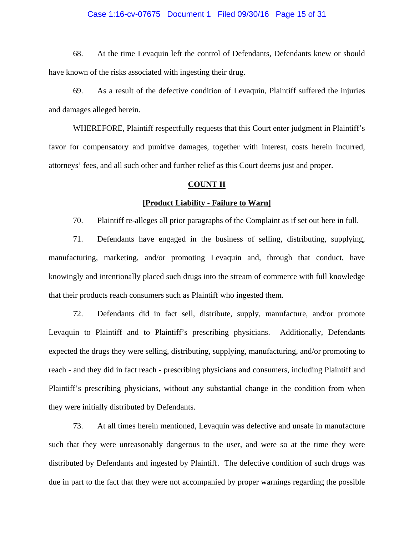### Case 1:16-cv-07675 Document 1 Filed 09/30/16 Page 15 of 31

68. At the time Levaquin left the control of Defendants, Defendants knew or should have known of the risks associated with ingesting their drug.

69. As a result of the defective condition of Levaquin, Plaintiff suffered the injuries and damages alleged herein.

WHEREFORE, Plaintiff respectfully requests that this Court enter judgment in Plaintiff's favor for compensatory and punitive damages, together with interest, costs herein incurred, attorneys' fees, and all such other and further relief as this Court deems just and proper.

### **COUNT II**

### **[Product Liability - Failure to Warn]**

70. Plaintiff re-alleges all prior paragraphs of the Complaint as if set out here in full.

71. Defendants have engaged in the business of selling, distributing, supplying, manufacturing, marketing, and/or promoting Levaquin and, through that conduct, have knowingly and intentionally placed such drugs into the stream of commerce with full knowledge that their products reach consumers such as Plaintiff who ingested them.

72. Defendants did in fact sell, distribute, supply, manufacture, and/or promote Levaquin to Plaintiff and to Plaintiff's prescribing physicians. Additionally, Defendants expected the drugs they were selling, distributing, supplying, manufacturing, and/or promoting to reach - and they did in fact reach - prescribing physicians and consumers, including Plaintiff and Plaintiff's prescribing physicians, without any substantial change in the condition from when they were initially distributed by Defendants.

73. At all times herein mentioned, Levaquin was defective and unsafe in manufacture such that they were unreasonably dangerous to the user, and were so at the time they were distributed by Defendants and ingested by Plaintiff. The defective condition of such drugs was due in part to the fact that they were not accompanied by proper warnings regarding the possible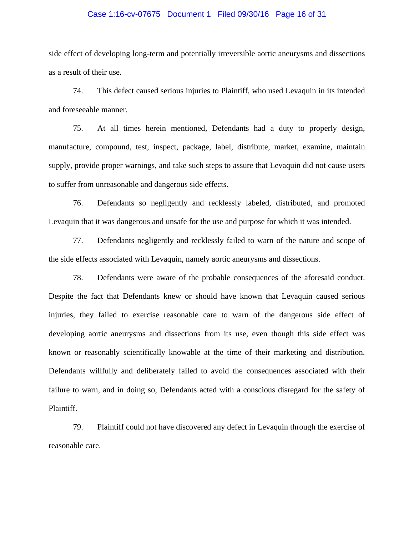### Case 1:16-cv-07675 Document 1 Filed 09/30/16 Page 16 of 31

side effect of developing long-term and potentially irreversible aortic aneurysms and dissections as a result of their use.

74. This defect caused serious injuries to Plaintiff, who used Levaquin in its intended and foreseeable manner.

75. At all times herein mentioned, Defendants had a duty to properly design, manufacture, compound, test, inspect, package, label, distribute, market, examine, maintain supply, provide proper warnings, and take such steps to assure that Levaquin did not cause users to suffer from unreasonable and dangerous side effects.

76. Defendants so negligently and recklessly labeled, distributed, and promoted Levaquin that it was dangerous and unsafe for the use and purpose for which it was intended.

77. Defendants negligently and recklessly failed to warn of the nature and scope of the side effects associated with Levaquin, namely aortic aneurysms and dissections.

78. Defendants were aware of the probable consequences of the aforesaid conduct. Despite the fact that Defendants knew or should have known that Levaquin caused serious injuries, they failed to exercise reasonable care to warn of the dangerous side effect of developing aortic aneurysms and dissections from its use, even though this side effect was known or reasonably scientifically knowable at the time of their marketing and distribution. Defendants willfully and deliberately failed to avoid the consequences associated with their failure to warn, and in doing so, Defendants acted with a conscious disregard for the safety of Plaintiff.

79. Plaintiff could not have discovered any defect in Levaquin through the exercise of reasonable care.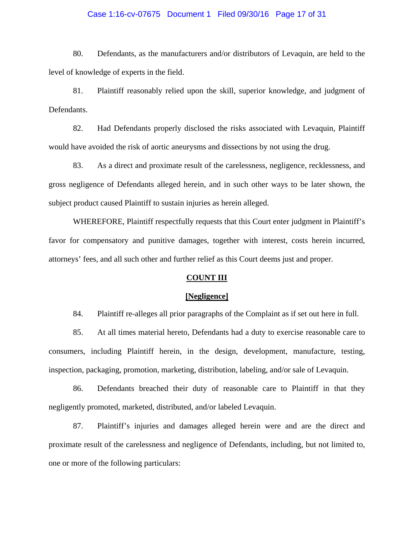### Case 1:16-cv-07675 Document 1 Filed 09/30/16 Page 17 of 31

80. Defendants, as the manufacturers and/or distributors of Levaquin, are held to the level of knowledge of experts in the field.

81. Plaintiff reasonably relied upon the skill, superior knowledge, and judgment of Defendants.

82. Had Defendants properly disclosed the risks associated with Levaquin, Plaintiff would have avoided the risk of aortic aneurysms and dissections by not using the drug.

83. As a direct and proximate result of the carelessness, negligence, recklessness, and gross negligence of Defendants alleged herein, and in such other ways to be later shown, the subject product caused Plaintiff to sustain injuries as herein alleged.

WHEREFORE, Plaintiff respectfully requests that this Court enter judgment in Plaintiff's favor for compensatory and punitive damages, together with interest, costs herein incurred, attorneys' fees, and all such other and further relief as this Court deems just and proper.

### **COUNT III**

### **[Negligence]**

84. Plaintiff re-alleges all prior paragraphs of the Complaint as if set out here in full.

85. At all times material hereto, Defendants had a duty to exercise reasonable care to consumers, including Plaintiff herein, in the design, development, manufacture, testing, inspection, packaging, promotion, marketing, distribution, labeling, and/or sale of Levaquin.

86. Defendants breached their duty of reasonable care to Plaintiff in that they negligently promoted, marketed, distributed, and/or labeled Levaquin.

87. Plaintiff's injuries and damages alleged herein were and are the direct and proximate result of the carelessness and negligence of Defendants, including, but not limited to, one or more of the following particulars: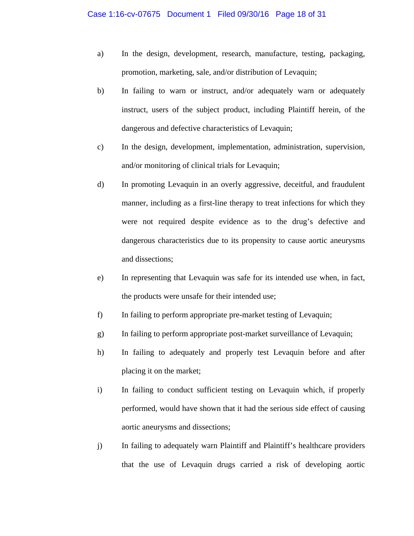- a) In the design, development, research, manufacture, testing, packaging, promotion, marketing, sale, and/or distribution of Levaquin;
- b) In failing to warn or instruct, and/or adequately warn or adequately instruct, users of the subject product, including Plaintiff herein, of the dangerous and defective characteristics of Levaquin;
- c) In the design, development, implementation, administration, supervision, and/or monitoring of clinical trials for Levaquin;
- d) In promoting Levaquin in an overly aggressive, deceitful, and fraudulent manner, including as a first-line therapy to treat infections for which they were not required despite evidence as to the drug's defective and dangerous characteristics due to its propensity to cause aortic aneurysms and dissections;
- e) In representing that Levaquin was safe for its intended use when, in fact, the products were unsafe for their intended use;
- f) In failing to perform appropriate pre-market testing of Levaquin;
- g) In failing to perform appropriate post-market surveillance of Levaquin;
- h) In failing to adequately and properly test Levaquin before and after placing it on the market;
- i) In failing to conduct sufficient testing on Levaquin which, if properly performed, would have shown that it had the serious side effect of causing aortic aneurysms and dissections;
- j) In failing to adequately warn Plaintiff and Plaintiff's healthcare providers that the use of Levaquin drugs carried a risk of developing aortic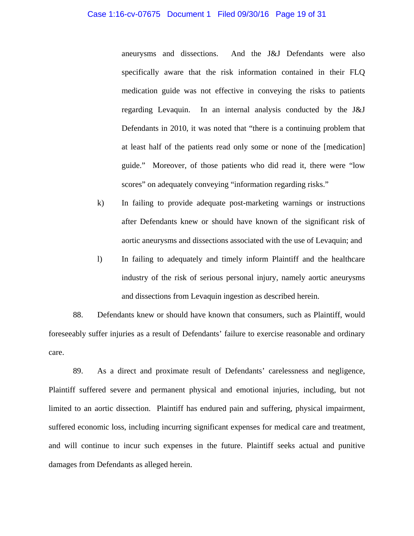aneurysms and dissections. And the J&J Defendants were also specifically aware that the risk information contained in their FLQ medication guide was not effective in conveying the risks to patients regarding Levaquin. In an internal analysis conducted by the J&J Defendants in 2010, it was noted that "there is a continuing problem that at least half of the patients read only some or none of the [medication] guide." Moreover, of those patients who did read it, there were "low scores" on adequately conveying "information regarding risks."

- k) In failing to provide adequate post-marketing warnings or instructions after Defendants knew or should have known of the significant risk of aortic aneurysms and dissections associated with the use of Levaquin; and
- l) In failing to adequately and timely inform Plaintiff and the healthcare industry of the risk of serious personal injury, namely aortic aneurysms and dissections from Levaquin ingestion as described herein.

88. Defendants knew or should have known that consumers, such as Plaintiff, would foreseeably suffer injuries as a result of Defendants' failure to exercise reasonable and ordinary care.

89. As a direct and proximate result of Defendants' carelessness and negligence, Plaintiff suffered severe and permanent physical and emotional injuries, including, but not limited to an aortic dissection. Plaintiff has endured pain and suffering, physical impairment, suffered economic loss, including incurring significant expenses for medical care and treatment, and will continue to incur such expenses in the future. Plaintiff seeks actual and punitive damages from Defendants as alleged herein.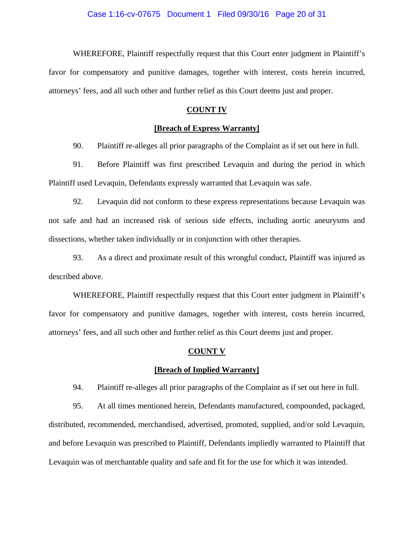WHEREFORE, Plaintiff respectfully request that this Court enter judgment in Plaintiff's favor for compensatory and punitive damages, together with interest, costs herein incurred, attorneys' fees, and all such other and further relief as this Court deems just and proper.

### **COUNT IV**

# **[Breach of Express Warranty]**

90. Plaintiff re-alleges all prior paragraphs of the Complaint as if set out here in full.

91. Before Plaintiff was first prescribed Levaquin and during the period in which Plaintiff used Levaquin, Defendants expressly warranted that Levaquin was safe.

92. Levaquin did not conform to these express representations because Levaquin was not safe and had an increased risk of serious side effects, including aortic aneurysms and dissections, whether taken individually or in conjunction with other therapies.

93. As a direct and proximate result of this wrongful conduct, Plaintiff was injured as described above.

WHEREFORE, Plaintiff respectfully request that this Court enter judgment in Plaintiff's favor for compensatory and punitive damages, together with interest, costs herein incurred, attorneys' fees, and all such other and further relief as this Court deems just and proper.

### **COUNT V**

# **[Breach of Implied Warranty]**

94. Plaintiff re-alleges all prior paragraphs of the Complaint as if set out here in full.

95. At all times mentioned herein, Defendants manufactured, compounded, packaged, distributed, recommended, merchandised, advertised, promoted, supplied, and/or sold Levaquin, and before Levaquin was prescribed to Plaintiff, Defendants impliedly warranted to Plaintiff that Levaquin was of merchantable quality and safe and fit for the use for which it was intended.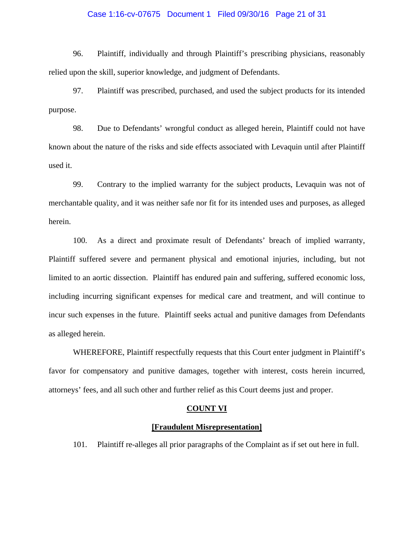#### Case 1:16-cv-07675 Document 1 Filed 09/30/16 Page 21 of 31

96. Plaintiff, individually and through Plaintiff's prescribing physicians, reasonably relied upon the skill, superior knowledge, and judgment of Defendants.

97. Plaintiff was prescribed, purchased, and used the subject products for its intended purpose.

98. Due to Defendants' wrongful conduct as alleged herein, Plaintiff could not have known about the nature of the risks and side effects associated with Levaquin until after Plaintiff used it.

99. Contrary to the implied warranty for the subject products, Levaquin was not of merchantable quality, and it was neither safe nor fit for its intended uses and purposes, as alleged herein.

100. As a direct and proximate result of Defendants' breach of implied warranty, Plaintiff suffered severe and permanent physical and emotional injuries, including, but not limited to an aortic dissection. Plaintiff has endured pain and suffering, suffered economic loss, including incurring significant expenses for medical care and treatment, and will continue to incur such expenses in the future. Plaintiff seeks actual and punitive damages from Defendants as alleged herein.

WHEREFORE, Plaintiff respectfully requests that this Court enter judgment in Plaintiff's favor for compensatory and punitive damages, together with interest, costs herein incurred, attorneys' fees, and all such other and further relief as this Court deems just and proper.

#### **COUNT VI**

### **[Fraudulent Misrepresentation]**

101. Plaintiff re-alleges all prior paragraphs of the Complaint as if set out here in full.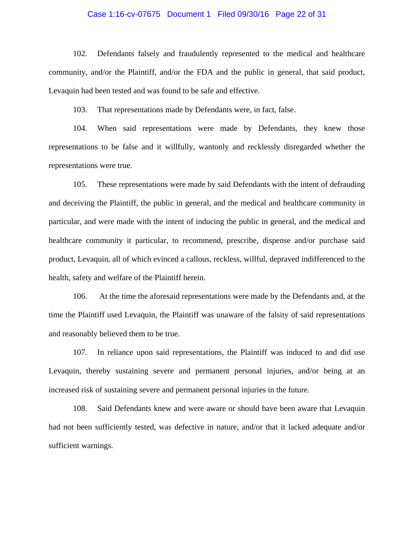### Case 1:16-cv-07675 Document 1 Filed 09/30/16 Page 22 of 31

102. Defendants falsely and fraudulently represented to the medical and healthcare community, and/or the Plaintiff, and/or the FDA and the public in general, that said product, Levaquin had been tested and was found to be safe and effective.

103. That representations made by Defendants were, in fact, false.

104. When said representations were made by Defendants, they knew those representations to be false and it willfully, wantonly and recklessly disregarded whether the representations were true.

105. These representations were made by said Defendants with the intent of defrauding and deceiving the Plaintiff, the public in general, and the medical and healthcare community in particular, and were made with the intent of inducing the public in general, and the medical and healthcare community it particular, to recommend, prescribe, dispense and/or purchase said product, Levaquin, all of which evinced a callous, reckless, willful, depraved indifferenced to the health, safety and welfare of the Plaintiff herein.

106. At the time the aforesaid representations were made by the Defendants and, at the time the Plaintiff used Levaquin, the Plaintiff was unaware of the falsity of said representations and reasonably believed them to be true.

107. In reliance upon said representations, the Plaintiff was induced to and did use Levaquin, thereby sustaining severe and permanent personal injuries, and/or being at an increased risk of sustaining severe and permanent personal injuries in the future.

108. Said Defendants knew and were aware or should have been aware that Levaquin had not been sufficiently tested, was defective in nature, and/or that it lacked adequate and/or sufficient warnings.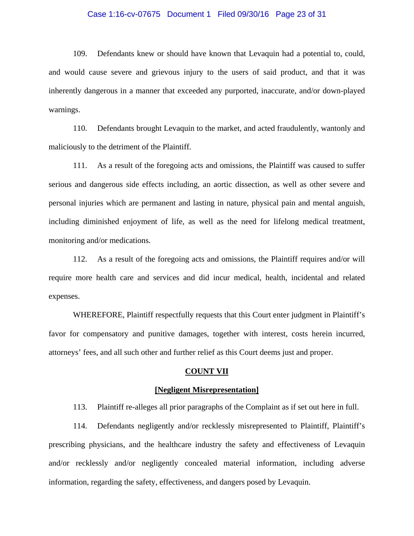### Case 1:16-cv-07675 Document 1 Filed 09/30/16 Page 23 of 31

109. Defendants knew or should have known that Levaquin had a potential to, could, and would cause severe and grievous injury to the users of said product, and that it was inherently dangerous in a manner that exceeded any purported, inaccurate, and/or down-played warnings.

110. Defendants brought Levaquin to the market, and acted fraudulently, wantonly and maliciously to the detriment of the Plaintiff.

111. As a result of the foregoing acts and omissions, the Plaintiff was caused to suffer serious and dangerous side effects including, an aortic dissection, as well as other severe and personal injuries which are permanent and lasting in nature, physical pain and mental anguish, including diminished enjoyment of life, as well as the need for lifelong medical treatment, monitoring and/or medications.

112. As a result of the foregoing acts and omissions, the Plaintiff requires and/or will require more health care and services and did incur medical, health, incidental and related expenses.

WHEREFORE, Plaintiff respectfully requests that this Court enter judgment in Plaintiff's favor for compensatory and punitive damages, together with interest, costs herein incurred, attorneys' fees, and all such other and further relief as this Court deems just and proper.

### **COUNT VII**

### **[Negligent Misrepresentation]**

113. Plaintiff re-alleges all prior paragraphs of the Complaint as if set out here in full.

114. Defendants negligently and/or recklessly misrepresented to Plaintiff, Plaintiff's prescribing physicians, and the healthcare industry the safety and effectiveness of Levaquin and/or recklessly and/or negligently concealed material information, including adverse information, regarding the safety, effectiveness, and dangers posed by Levaquin.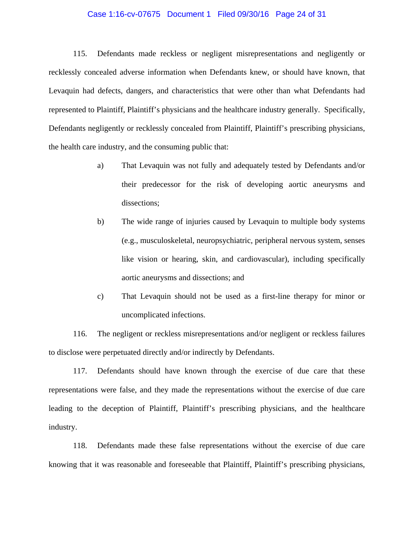### Case 1:16-cv-07675 Document 1 Filed 09/30/16 Page 24 of 31

115. Defendants made reckless or negligent misrepresentations and negligently or recklessly concealed adverse information when Defendants knew, or should have known, that Levaquin had defects, dangers, and characteristics that were other than what Defendants had represented to Plaintiff, Plaintiff's physicians and the healthcare industry generally. Specifically, Defendants negligently or recklessly concealed from Plaintiff, Plaintiff's prescribing physicians, the health care industry, and the consuming public that:

- a) That Levaquin was not fully and adequately tested by Defendants and/or their predecessor for the risk of developing aortic aneurysms and dissections;
- b) The wide range of injuries caused by Levaquin to multiple body systems (e.g., musculoskeletal, neuropsychiatric, peripheral nervous system, senses like vision or hearing, skin, and cardiovascular), including specifically aortic aneurysms and dissections; and
- c) That Levaquin should not be used as a first-line therapy for minor or uncomplicated infections.

116. The negligent or reckless misrepresentations and/or negligent or reckless failures to disclose were perpetuated directly and/or indirectly by Defendants.

117. Defendants should have known through the exercise of due care that these representations were false, and they made the representations without the exercise of due care leading to the deception of Plaintiff, Plaintiff's prescribing physicians, and the healthcare industry.

118. Defendants made these false representations without the exercise of due care knowing that it was reasonable and foreseeable that Plaintiff, Plaintiff's prescribing physicians,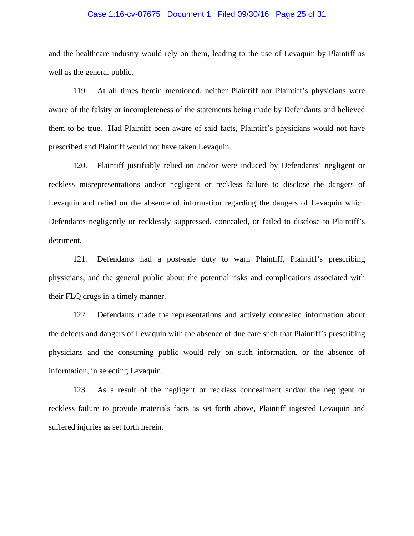### Case 1:16-cv-07675 Document 1 Filed 09/30/16 Page 25 of 31

and the healthcare industry would rely on them, leading to the use of Levaquin by Plaintiff as well as the general public.

119. At all times herein mentioned, neither Plaintiff nor Plaintiff's physicians were aware of the falsity or incompleteness of the statements being made by Defendants and believed them to be true. Had Plaintiff been aware of said facts, Plaintiff's physicians would not have prescribed and Plaintiff would not have taken Levaquin.

120. Plaintiff justifiably relied on and/or were induced by Defendants' negligent or reckless misrepresentations and/or negligent or reckless failure to disclose the dangers of Levaquin and relied on the absence of information regarding the dangers of Levaquin which Defendants negligently or recklessly suppressed, concealed, or failed to disclose to Plaintiff's detriment.

121. Defendants had a post-sale duty to warn Plaintiff, Plaintiff's prescribing physicians, and the general public about the potential risks and complications associated with their FLQ drugs in a timely manner.

122. Defendants made the representations and actively concealed information about the defects and dangers of Levaquin with the absence of due care such that Plaintiff's prescribing physicians and the consuming public would rely on such information, or the absence of information, in selecting Levaquin.

123. As a result of the negligent or reckless concealment and/or the negligent or reckless failure to provide materials facts as set forth above, Plaintiff ingested Levaquin and suffered injuries as set forth herein.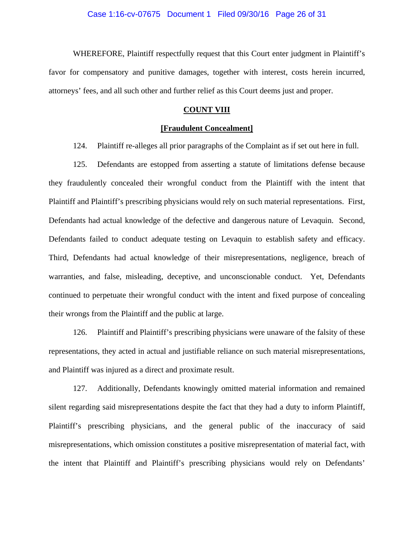### Case 1:16-cv-07675 Document 1 Filed 09/30/16 Page 26 of 31

WHEREFORE, Plaintiff respectfully request that this Court enter judgment in Plaintiff's favor for compensatory and punitive damages, together with interest, costs herein incurred, attorneys' fees, and all such other and further relief as this Court deems just and proper.

### **COUNT VIII**

# **[Fraudulent Concealment]**

124. Plaintiff re-alleges all prior paragraphs of the Complaint as if set out here in full.

125. Defendants are estopped from asserting a statute of limitations defense because they fraudulently concealed their wrongful conduct from the Plaintiff with the intent that Plaintiff and Plaintiff's prescribing physicians would rely on such material representations. First, Defendants had actual knowledge of the defective and dangerous nature of Levaquin. Second, Defendants failed to conduct adequate testing on Levaquin to establish safety and efficacy. Third, Defendants had actual knowledge of their misrepresentations, negligence, breach of warranties, and false, misleading, deceptive, and unconscionable conduct. Yet, Defendants continued to perpetuate their wrongful conduct with the intent and fixed purpose of concealing their wrongs from the Plaintiff and the public at large.

126. Plaintiff and Plaintiff's prescribing physicians were unaware of the falsity of these representations, they acted in actual and justifiable reliance on such material misrepresentations, and Plaintiff was injured as a direct and proximate result.

127. Additionally, Defendants knowingly omitted material information and remained silent regarding said misrepresentations despite the fact that they had a duty to inform Plaintiff, Plaintiff's prescribing physicians, and the general public of the inaccuracy of said misrepresentations, which omission constitutes a positive misrepresentation of material fact, with the intent that Plaintiff and Plaintiff's prescribing physicians would rely on Defendants'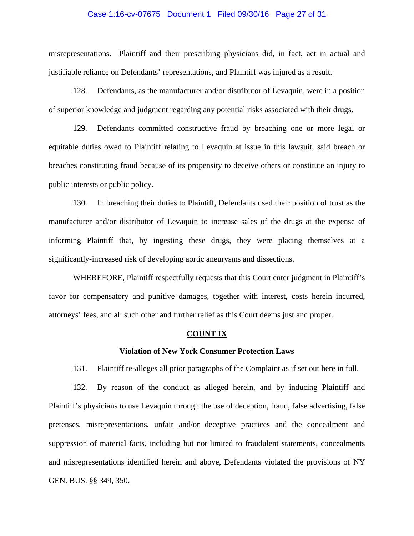### Case 1:16-cv-07675 Document 1 Filed 09/30/16 Page 27 of 31

misrepresentations. Plaintiff and their prescribing physicians did, in fact, act in actual and justifiable reliance on Defendants' representations, and Plaintiff was injured as a result.

128. Defendants, as the manufacturer and/or distributor of Levaquin, were in a position of superior knowledge and judgment regarding any potential risks associated with their drugs.

129. Defendants committed constructive fraud by breaching one or more legal or equitable duties owed to Plaintiff relating to Levaquin at issue in this lawsuit, said breach or breaches constituting fraud because of its propensity to deceive others or constitute an injury to public interests or public policy.

130. In breaching their duties to Plaintiff, Defendants used their position of trust as the manufacturer and/or distributor of Levaquin to increase sales of the drugs at the expense of informing Plaintiff that, by ingesting these drugs, they were placing themselves at a significantly-increased risk of developing aortic aneurysms and dissections.

WHEREFORE, Plaintiff respectfully requests that this Court enter judgment in Plaintiff's favor for compensatory and punitive damages, together with interest, costs herein incurred, attorneys' fees, and all such other and further relief as this Court deems just and proper.

#### **COUNT IX**

### **Violation of New York Consumer Protection Laws**

131. Plaintiff re-alleges all prior paragraphs of the Complaint as if set out here in full.

132. By reason of the conduct as alleged herein, and by inducing Plaintiff and Plaintiff's physicians to use Levaquin through the use of deception, fraud, false advertising, false pretenses, misrepresentations, unfair and/or deceptive practices and the concealment and suppression of material facts, including but not limited to fraudulent statements, concealments and misrepresentations identified herein and above, Defendants violated the provisions of NY GEN. BUS. §§ 349, 350.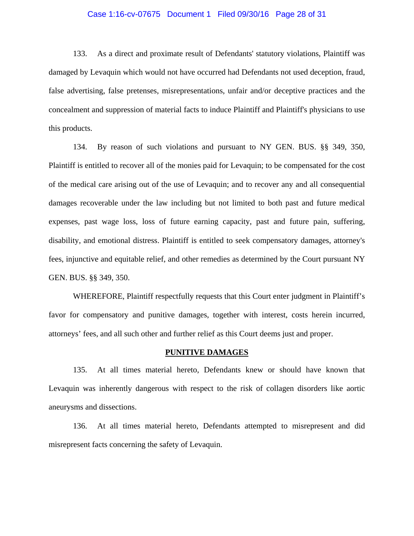### Case 1:16-cv-07675 Document 1 Filed 09/30/16 Page 28 of 31

133. As a direct and proximate result of Defendants' statutory violations, Plaintiff was damaged by Levaquin which would not have occurred had Defendants not used deception, fraud, false advertising, false pretenses, misrepresentations, unfair and/or deceptive practices and the concealment and suppression of material facts to induce Plaintiff and Plaintiff's physicians to use this products.

134. By reason of such violations and pursuant to NY GEN. BUS. §§ 349, 350, Plaintiff is entitled to recover all of the monies paid for Levaquin; to be compensated for the cost of the medical care arising out of the use of Levaquin; and to recover any and all consequential damages recoverable under the law including but not limited to both past and future medical expenses, past wage loss, loss of future earning capacity, past and future pain, suffering, disability, and emotional distress. Plaintiff is entitled to seek compensatory damages, attorney's fees, injunctive and equitable relief, and other remedies as determined by the Court pursuant NY GEN. BUS. §§ 349, 350.

WHEREFORE, Plaintiff respectfully requests that this Court enter judgment in Plaintiff's favor for compensatory and punitive damages, together with interest, costs herein incurred, attorneys' fees, and all such other and further relief as this Court deems just and proper.

#### **PUNITIVE DAMAGES**

135. At all times material hereto, Defendants knew or should have known that Levaquin was inherently dangerous with respect to the risk of collagen disorders like aortic aneurysms and dissections.

136. At all times material hereto, Defendants attempted to misrepresent and did misrepresent facts concerning the safety of Levaquin.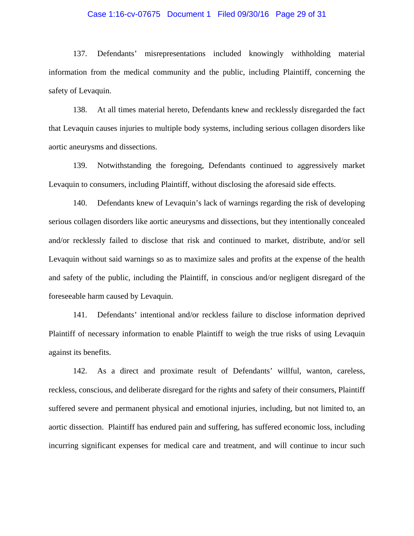### Case 1:16-cv-07675 Document 1 Filed 09/30/16 Page 29 of 31

137. Defendants' misrepresentations included knowingly withholding material information from the medical community and the public, including Plaintiff, concerning the safety of Levaquin.

138. At all times material hereto, Defendants knew and recklessly disregarded the fact that Levaquin causes injuries to multiple body systems, including serious collagen disorders like aortic aneurysms and dissections.

139. Notwithstanding the foregoing, Defendants continued to aggressively market Levaquin to consumers, including Plaintiff, without disclosing the aforesaid side effects.

140. Defendants knew of Levaquin's lack of warnings regarding the risk of developing serious collagen disorders like aortic aneurysms and dissections, but they intentionally concealed and/or recklessly failed to disclose that risk and continued to market, distribute, and/or sell Levaquin without said warnings so as to maximize sales and profits at the expense of the health and safety of the public, including the Plaintiff, in conscious and/or negligent disregard of the foreseeable harm caused by Levaquin.

141. Defendants' intentional and/or reckless failure to disclose information deprived Plaintiff of necessary information to enable Plaintiff to weigh the true risks of using Levaquin against its benefits.

142. As a direct and proximate result of Defendants' willful, wanton, careless, reckless, conscious, and deliberate disregard for the rights and safety of their consumers, Plaintiff suffered severe and permanent physical and emotional injuries, including, but not limited to, an aortic dissection. Plaintiff has endured pain and suffering, has suffered economic loss, including incurring significant expenses for medical care and treatment, and will continue to incur such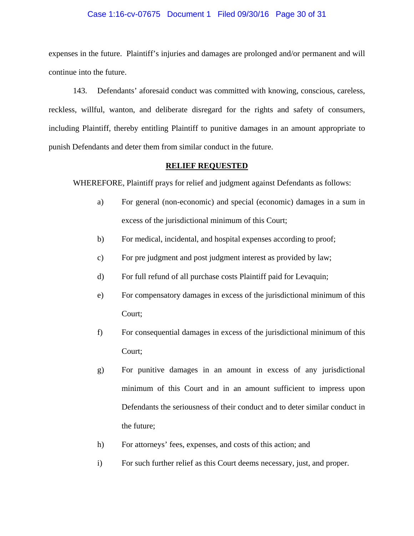### Case 1:16-cv-07675 Document 1 Filed 09/30/16 Page 30 of 31

expenses in the future. Plaintiff's injuries and damages are prolonged and/or permanent and will continue into the future.

143. Defendants' aforesaid conduct was committed with knowing, conscious, careless, reckless, willful, wanton, and deliberate disregard for the rights and safety of consumers, including Plaintiff, thereby entitling Plaintiff to punitive damages in an amount appropriate to punish Defendants and deter them from similar conduct in the future.

### **RELIEF REQUESTED**

WHEREFORE, Plaintiff prays for relief and judgment against Defendants as follows:

- a) For general (non-economic) and special (economic) damages in a sum in excess of the jurisdictional minimum of this Court;
- b) For medical, incidental, and hospital expenses according to proof;
- c) For pre judgment and post judgment interest as provided by law;
- d) For full refund of all purchase costs Plaintiff paid for Levaquin;
- e) For compensatory damages in excess of the jurisdictional minimum of this Court;
- f) For consequential damages in excess of the jurisdictional minimum of this Court;
- g) For punitive damages in an amount in excess of any jurisdictional minimum of this Court and in an amount sufficient to impress upon Defendants the seriousness of their conduct and to deter similar conduct in the future;
- h) For attorneys' fees, expenses, and costs of this action; and
- i) For such further relief as this Court deems necessary, just, and proper.